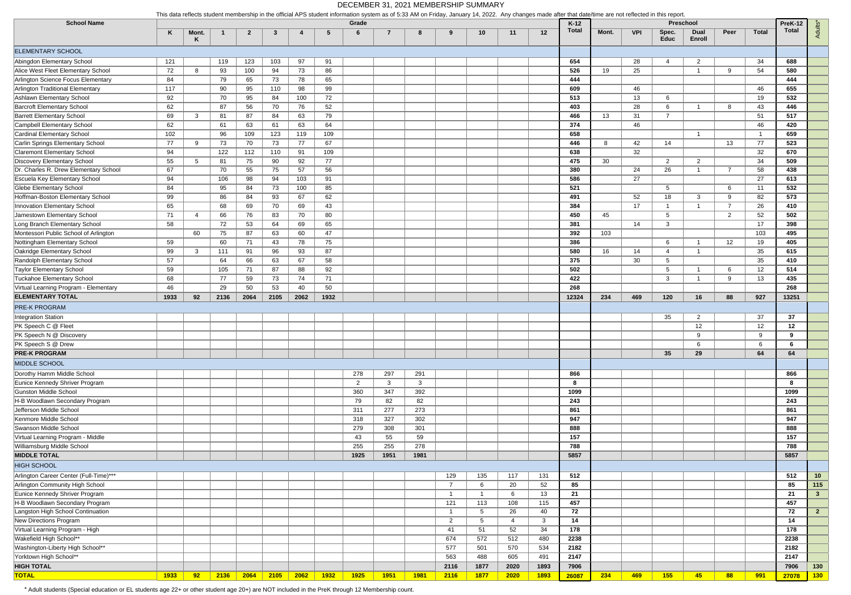|                                        | This data reflects student membership in the official APS student information system as of 5:33 AM on Friday, January 14, 2022. Any changes made after that date/time are not reflected in this report |              |      |              |              |      |      |                |                |              |                |                |      |             |                 |       |            |                      |                             |                |                |                  |                  |
|----------------------------------------|--------------------------------------------------------------------------------------------------------------------------------------------------------------------------------------------------------|--------------|------|--------------|--------------|------|------|----------------|----------------|--------------|----------------|----------------|------|-------------|-----------------|-------|------------|----------------------|-----------------------------|----------------|----------------|------------------|------------------|
| <b>School Name</b>                     | K                                                                                                                                                                                                      | Mont.        |      | $\mathbf{2}$ | -3           |      | -5   | Grade<br>6     | $\overline{7}$ | 8            | 9              | 10             | 11   | 12          | $K-12$<br>Total | Mont. | <b>VPI</b> | Spec.<br><b>Educ</b> | Preschool<br>Dual<br>Enroll | Peer           | <b>Total</b>   | PreK-12<br>Total | Adults*          |
| <b>ELEMENTARY SCHOOL</b>               |                                                                                                                                                                                                        |              |      |              |              |      |      |                |                |              |                |                |      |             |                 |       |            |                      |                             |                |                |                  |                  |
| Abingdon Elementary School             | 121                                                                                                                                                                                                    |              | 119  | 123          | 103          | 97   | 91   |                |                |              |                |                |      |             | 654             |       | 28         | $\overline{4}$       | 2                           |                | 34             | 688              |                  |
| Alice West Fleet Elementary School     | 72                                                                                                                                                                                                     | 8            | 93   | 100          | 94           | 73   | 86   |                |                |              |                |                |      |             | 526             | 19    | 25         |                      | -1                          | 9              | 54             | 580              |                  |
| Arlington Science Focus Elementary     | 84                                                                                                                                                                                                     |              | 79   | 65           | 73           | 78   | 65   |                |                |              |                |                |      |             | 444             |       |            |                      |                             |                |                | 444              |                  |
| Arlington Traditional Elementary       | 117                                                                                                                                                                                                    |              | 90   | 95           | 110          | 98   | 99   |                |                |              |                |                |      |             | 609             |       | 46         |                      |                             |                | 46             | 655              |                  |
| Ashlawn Elementary School              | 92                                                                                                                                                                                                     |              | 70   | 95           | 84           | 100  | 72   |                |                |              |                |                |      |             | 513             |       | 13         | 6                    |                             |                | 19             | 532              |                  |
| <b>Barcroft Elementary School</b>      | 62                                                                                                                                                                                                     |              | 87   | 56           | 70           | 76   | 52   |                |                |              |                |                |      |             | 403             |       | 28         | 6                    |                             | 8              | 43             | 446              |                  |
| <b>Barrett Elementary School</b>       | 69                                                                                                                                                                                                     | 3            | 81   | 87           | 84           | 63   | 79   |                |                |              |                |                |      |             | 466             | 13    | 31         | $\overline{7}$       |                             |                | 51             | 517              |                  |
| Campbell Elementary School             | 62                                                                                                                                                                                                     |              | 61   | 63           | 61           | 63   | 64   |                |                |              |                |                |      |             | 374             |       | 46         |                      |                             |                | 46             | 420              |                  |
| Cardinal Elementary School             | 102                                                                                                                                                                                                    |              | 96   | 109          | 123          | 119  | 109  |                |                |              |                |                |      |             | 658             |       |            |                      | - 1                         |                | $\overline{1}$ | 659              |                  |
| Carlin Springs Elementary School       | 77                                                                                                                                                                                                     | 9            | 73   | 70           | 73           | 77   | 67   |                |                |              |                |                |      |             | 446             | 8     | 42         | 14                   |                             | 13             | 77             | 523              |                  |
| <b>Claremont Elementary School</b>     |                                                                                                                                                                                                        |              | 122  |              |              |      |      |                |                |              |                |                |      |             |                 |       | 32         |                      |                             |                | 32             | 670              |                  |
| Discovery Elementary School            | 94                                                                                                                                                                                                     |              |      | 112          | 110          | 91   | 109  |                |                |              |                |                |      |             | 638<br>475      |       |            |                      |                             |                |                | 509              |                  |
|                                        | 55                                                                                                                                                                                                     | 5            | 81   | 75           | 90           | 92   | 77   |                |                |              |                |                |      |             |                 | 30    |            | $\overline{2}$       | $\overline{2}$              | $\overline{7}$ | 34             |                  |                  |
| Dr. Charles R. Drew Elementary School  | 67                                                                                                                                                                                                     |              | 70   | 55           | 75           | 57   | 56   |                |                |              |                |                |      |             | 380             |       | 24         | 26                   |                             |                | 58             | 438              |                  |
| Escuela Key Elementary School          | 94                                                                                                                                                                                                     |              | 106  | 98           | 94           | 103  | 91   |                |                |              |                |                |      |             | 586             |       | 27         |                      |                             |                | 27             | 613              |                  |
| <b>Glebe Elementary School</b>         | 84                                                                                                                                                                                                     |              | 95   | 84           | 73           | 100  | 85   |                |                |              |                |                |      |             | 521             |       |            | $5\overline{5}$      |                             | 6              | 11             | 532              |                  |
| Hoffman-Boston Elementary School       | 99                                                                                                                                                                                                     |              | 86   | 84           | 93           | 67   | 62   |                |                |              |                |                |      |             | 491             |       | 52         | 18                   | 3                           | -9             | 82             | 573              |                  |
| Innovation Elementary School           | 65                                                                                                                                                                                                     |              | 68   | 69           | 70           | 69   | 43   |                |                |              |                |                |      |             | 384             |       | 17         | -1                   |                             | $\overline{7}$ | 26             | 410              |                  |
| Jamestown Elementary School            | 71                                                                                                                                                                                                     |              | 66   | 76           | 83           | 70   | 80   |                |                |              |                |                |      |             | 450             | 45    |            | $5\overline{5}$      |                             | 2              | 52             | 502              |                  |
| Long Branch Elementary School          | 58                                                                                                                                                                                                     |              | 72   | 53           | 64           | 69   | 65   |                |                |              |                |                |      |             | 381             |       | 14         | 3                    |                             |                | 17             | 398              |                  |
| Montessori Public School of Arlington  |                                                                                                                                                                                                        | 60           | 75   | 87           | 63           | 60   | 47   |                |                |              |                |                |      |             | 392             | 103   |            |                      |                             |                | 103            | 495              |                  |
| Nottingham Elementary School           | 59                                                                                                                                                                                                     |              | 60   | 71           | 43           | 78   | 75   |                |                |              |                |                |      |             | 386             |       |            | 6                    |                             | 12             | 19             | 405              |                  |
| Oakridge Elementary School             | 99                                                                                                                                                                                                     | $\mathbf{3}$ | 111  | 91           | 96           | 93   | 87   |                |                |              |                |                |      |             | 580             | 16    | 14         | 4                    |                             |                | 35             | 615              |                  |
| Randolph Elementary School             | 57                                                                                                                                                                                                     |              | 64   | 66           | 63           | 67   | 58   |                |                |              |                |                |      |             | 375             |       | 30         | 5                    |                             |                | 35             | 410              |                  |
| Taylor Elementary School               | 59                                                                                                                                                                                                     |              | 105  | 71           | 87           | 88   | 92   |                |                |              |                |                |      |             | 502             |       |            | 5                    |                             | 6              | 12             | 514              |                  |
| Tuckahoe Elementary School             | 68                                                                                                                                                                                                     |              | 77   | 59           | 73           | 74   | 71   |                |                |              |                |                |      |             | 422             |       |            | 3                    |                             | -9             | 13             | 435              |                  |
| Virtual Learning Program - Elementary  | 46                                                                                                                                                                                                     |              | 29   | 50           | 53           | 40   | 50   |                |                |              |                |                |      |             | 268             |       |            |                      |                             |                |                | 268              |                  |
| <b>ELEMENTARY TOTAL</b>                | 1933                                                                                                                                                                                                   | 92           | 2136 | 2064         | 2105         | 2062 | 1932 |                |                |              |                |                |      |             | 12324           | 234   | 469        | 120                  | 16                          | 88             | 927            | 13251            |                  |
| <b>PRE-K PROGRAM</b>                   |                                                                                                                                                                                                        |              |      |              |              |      |      |                |                |              |                |                |      |             |                 |       |            |                      |                             |                |                |                  |                  |
| Integration Station                    |                                                                                                                                                                                                        |              |      |              |              |      |      |                |                |              |                |                |      |             |                 |       |            | 35                   | $\overline{2}$              |                | 37             | 37               |                  |
| PK Speech C @ Fleet                    |                                                                                                                                                                                                        |              |      |              |              |      |      |                |                |              |                |                |      |             |                 |       |            |                      | 12 <sup>°</sup>             |                | 12             | 12               |                  |
| PK Speech N @ Discovery                |                                                                                                                                                                                                        |              |      |              |              |      |      |                |                |              |                |                |      |             |                 |       |            |                      | 9                           |                | 9              | 9                |                  |
| PK Speech S @ Drew                     |                                                                                                                                                                                                        |              |      |              |              |      |      |                |                |              |                |                |      |             |                 |       |            |                      | 6                           |                | 6              | 6                |                  |
| <b>PRE-K PROGRAM</b>                   |                                                                                                                                                                                                        |              |      |              |              |      |      |                |                |              |                |                |      |             |                 |       |            | 35                   | 29                          |                | 64             | 64               |                  |
| MIDDLE SCHOOL                          |                                                                                                                                                                                                        |              |      |              |              |      |      |                |                |              |                |                |      |             |                 |       |            |                      |                             |                |                |                  |                  |
| Dorothy Hamm Middle School             |                                                                                                                                                                                                        |              |      |              |              |      |      | 278            | 297            | 291          |                |                |      |             | 866             |       |            |                      |                             |                |                | 866              |                  |
| Eunice Kennedy Shriver Program         |                                                                                                                                                                                                        |              |      |              |              |      |      | $\overline{2}$ | $\mathbf{3}$   | $\mathbf{3}$ |                |                |      |             | - 8             |       |            |                      |                             |                |                | 8                |                  |
| Gunston Middle School                  |                                                                                                                                                                                                        |              |      |              |              |      |      | 360            | 347            | 392          |                |                |      |             | 1099            |       |            |                      |                             |                |                | 1099             |                  |
| H-B Woodlawn Secondary Program         |                                                                                                                                                                                                        |              |      |              |              |      |      | 79             | 82             | 82           |                |                |      |             | 243             |       |            |                      |                             |                |                | 243              |                  |
| Jefferson Middle School                |                                                                                                                                                                                                        |              |      |              |              |      |      | 311            | 277            | 273          |                |                |      |             | 861             |       |            |                      |                             |                |                | 861              |                  |
| Kenmore Middle School                  |                                                                                                                                                                                                        |              |      |              |              |      |      | 318            | 327            | 302          |                |                |      |             | 947             |       |            |                      |                             |                |                | 947              |                  |
| Swanson Middle School                  |                                                                                                                                                                                                        |              |      |              |              |      |      | 279            |                | 301          |                |                |      |             | 888             |       |            |                      |                             |                |                | 888              |                  |
|                                        |                                                                                                                                                                                                        |              |      |              |              |      |      | 43             | 308            |              |                |                |      |             | 157             |       |            |                      |                             |                |                | 157              |                  |
| Virtual Learning Program - Middle      |                                                                                                                                                                                                        |              |      |              |              |      |      |                | 55<br>255      | 59<br>278    |                |                |      |             |                 |       |            |                      |                             |                |                | 788              |                  |
| Williamsburg Middle School             |                                                                                                                                                                                                        |              |      |              |              |      |      | 255            |                |              |                |                |      |             | 788             |       |            |                      |                             |                |                |                  |                  |
| <b>MIDDLE TOTAL</b>                    |                                                                                                                                                                                                        |              |      |              |              |      |      | 1925           | 1951           | 1981         |                |                |      |             | 5857            |       |            |                      |                             |                |                | 5857             |                  |
| <b>HIGH SCHOOL</b>                     |                                                                                                                                                                                                        |              |      |              |              |      |      |                |                |              |                |                |      |             |                 |       |            |                      |                             |                |                |                  |                  |
| Arlington Career Center (Full-Time)*** |                                                                                                                                                                                                        |              |      |              |              |      |      |                |                |              | 129            | 135            | 117  | 131         | 512             |       |            |                      |                             |                |                | 512              | 10 <sub>1</sub>  |
| Arlington Community High School        |                                                                                                                                                                                                        |              |      |              |              |      |      |                |                |              | $\overline{7}$ | 6              | 20   | 52          | 85              |       |            |                      |                             |                |                | 85               | $115$            |
| Eunice Kennedy Shriver Program         |                                                                                                                                                                                                        |              |      |              |              |      |      |                |                |              | $\mathbf{1}$   | $\overline{1}$ | 6    | 13          | 21              |       |            |                      |                             |                |                | 21               | 3 <sup>2</sup>   |
| H-B Woodlawn Secondary Program         |                                                                                                                                                                                                        |              |      |              |              |      |      |                |                |              | 121            | 113            | 108  | 115         | 457             |       |            |                      |                             |                |                | 457              |                  |
| Langston High School Continuation      |                                                                                                                                                                                                        |              |      |              |              |      |      |                |                |              | $\mathbf{1}$   | $5^{\circ}$    | 26   | 40          | 72              |       |            |                      |                             |                |                | 72               | $2^{\circ}$      |
| New Directions Program                 |                                                                                                                                                                                                        |              |      |              |              |      |      |                |                |              | $\overline{2}$ | $5^{\circ}$    | 4    | 3           | 14              |       |            |                      |                             |                |                | 14               |                  |
| Virtual Learning Program - High        |                                                                                                                                                                                                        |              |      |              |              |      |      |                |                |              | 41             | 51             | 52   | 34          | 178             |       |            |                      |                             |                |                | 178              |                  |
| Wakefield High School**                |                                                                                                                                                                                                        |              |      |              |              |      |      |                |                |              | 674            | 572            | 512  | 480         | 2238            |       |            |                      |                             |                |                | 2238             |                  |
| Washington-Liberty High School**       |                                                                                                                                                                                                        |              |      |              |              |      |      |                |                |              | 577            | 501            | 570  | 534         | 2182            |       |            |                      |                             |                |                | 2182             |                  |
| Yorktown High School**                 |                                                                                                                                                                                                        |              |      |              |              |      |      |                |                |              | 563            | 488            | 605  | 491         | 2147            |       |            |                      |                             |                |                | 2147             |                  |
| <b>HIGH TOTAL</b>                      |                                                                                                                                                                                                        |              |      |              |              |      |      |                |                |              | 2116           | 1877           | 2020 | 1893        | 7906            |       |            |                      |                             |                |                | 7906             | 130              |
| <b>TOTAL</b>                           | 1933                                                                                                                                                                                                   | 92           | 2136 | 2064         | $\vert$ 2105 | 2062 | 1932 | 1925           | <b>1951</b>    | 1981         | 2116           | <b>1877</b>    | 2020 | <b>1893</b> | 26087           | 234   | 469        | 155                  | 45                          | 88             | 991            | 27078            | 130 <sub>1</sub> |

\* Adult students (Special education or EL students age 22+ or other student age 20+) are NOT included in the PreK through 12 Membership count.

This data reflects student membership in the official APS student information system as of 5:33 AM on Friday, January 14, 2022. Any changes made after that date/time are not reflected in this report.

## DECEMBER 31, 2021 MEMBERSHIP SUMMARY